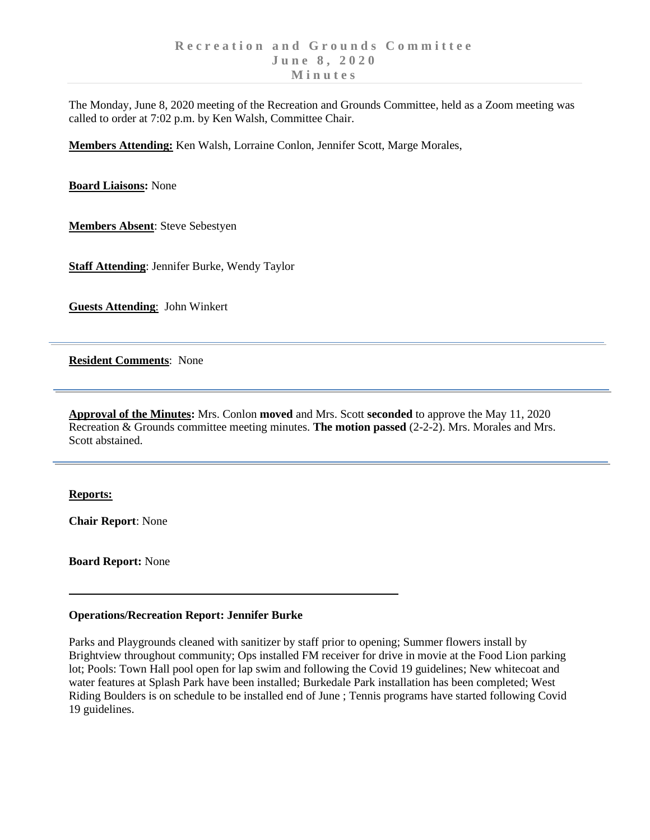The Monday, June 8, 2020 meeting of the Recreation and Grounds Committee, held as a Zoom meeting was called to order at 7:02 p.m. by Ken Walsh, Committee Chair.

**Members Attending:** Ken Walsh, Lorraine Conlon, Jennifer Scott, Marge Morales,

**Board Liaisons:** None

**Members Absent**: Steve Sebestyen

**Staff Attending**: Jennifer Burke, Wendy Taylor

**Guests Attending**: John Winkert

**Resident Comments**: None

**Approval of the Minutes:** Mrs. Conlon **moved** and Mrs. Scott **seconded** to approve the May 11, 2020 Recreation & Grounds committee meeting minutes. **The motion passed** (2-2-2). Mrs. Morales and Mrs. Scott abstained.

## **Reports:**

**Chair Report**: None

**Board Report:** None

## **Operations/Recreation Report: Jennifer Burke**

Parks and Playgrounds cleaned with sanitizer by staff prior to opening; Summer flowers install by Brightview throughout community; Ops installed FM receiver for drive in movie at the Food Lion parking lot; Pools: Town Hall pool open for lap swim and following the Covid 19 guidelines; New whitecoat and water features at Splash Park have been installed; Burkedale Park installation has been completed; West Riding Boulders is on schedule to be installed end of June ; Tennis programs have started following Covid 19 guidelines.